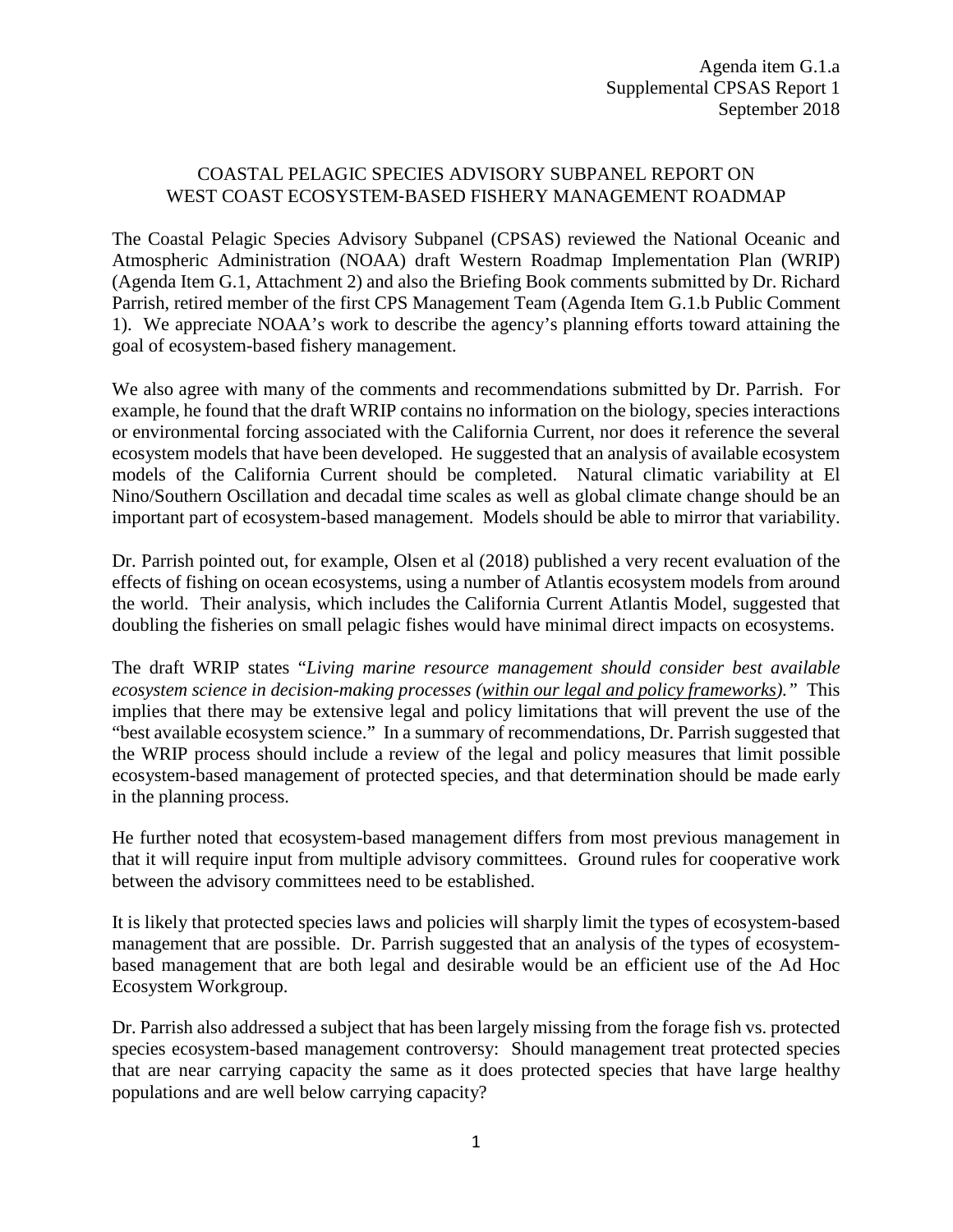## COASTAL PELAGIC SPECIES ADVISORY SUBPANEL REPORT ON WEST COAST ECOSYSTEM‐BASED FISHERY MANAGEMENT ROADMAP

The Coastal Pelagic Species Advisory Subpanel (CPSAS) reviewed the National Oceanic and Atmospheric Administration (NOAA) draft Western Roadmap Implementation Plan (WRIP) (Agenda Item G.1, Attachment 2) and also the Briefing Book comments submitted by Dr. Richard Parrish, retired member of the first CPS Management Team (Agenda Item G.1.b Public Comment 1). We appreciate NOAA's work to describe the agency's planning efforts toward attaining the goal of ecosystem-based fishery management.

We also agree with many of the comments and recommendations submitted by Dr. Parrish. For example, he found that the draft WRIP contains no information on the biology, species interactions or environmental forcing associated with the California Current, nor does it reference the several ecosystem models that have been developed. He suggested that an analysis of available ecosystem models of the California Current should be completed. Natural climatic variability at El Nino/Southern Oscillation and decadal time scales as well as global climate change should be an important part of ecosystem-based management. Models should be able to mirror that variability.

Dr. Parrish pointed out, for example, Olsen et al (2018) published a very recent evaluation of the effects of fishing on ocean ecosystems, using a number of Atlantis ecosystem models from around the world. Their analysis, which includes the California Current Atlantis Model, suggested that doubling the fisheries on small pelagic fishes would have minimal direct impacts on ecosystems.

The draft WRIP states "*Living marine resource management should consider best available ecosystem science in decision-making processes (within our legal and policy frameworks)."* This implies that there may be extensive legal and policy limitations that will prevent the use of the "best available ecosystem science." In a summary of recommendations, Dr. Parrish suggested that the WRIP process should include a review of the legal and policy measures that limit possible ecosystem-based management of protected species, and that determination should be made early in the planning process.

He further noted that ecosystem-based management differs from most previous management in that it will require input from multiple advisory committees. Ground rules for cooperative work between the advisory committees need to be established.

It is likely that protected species laws and policies will sharply limit the types of ecosystem-based management that are possible. Dr. Parrish suggested that an analysis of the types of ecosystembased management that are both legal and desirable would be an efficient use of the Ad Hoc Ecosystem Workgroup.

Dr. Parrish also addressed a subject that has been largely missing from the forage fish vs. protected species ecosystem-based management controversy: Should management treat protected species that are near carrying capacity the same as it does protected species that have large healthy populations and are well below carrying capacity?